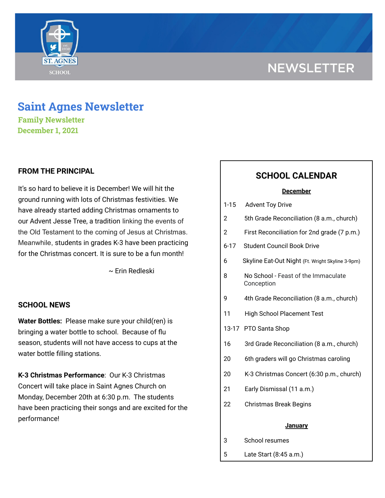# **NEWSLETTER**



## **Saint Agnes Newsletter**

**Family Newsletter December 1, 2021**

## **FROM THE PRINCIPAL**

It's so hard to believe it is December! We will hit the ground running with lots of Christmas festivities. We have already started adding Christmas ornaments to our Advent Jesse Tree, a tradition linking the events of the Old Testament to the coming of Jesus at Christmas. Meanwhile, students in grades K-3 have been practicing for the Christmas concert. It is sure to be a fun month!

~ Erin Redleski

### **SCHOOL NEWS**

**Water Bottles:** Please make sure your child(ren) is bringing a water bottle to school. Because of flu season, students will not have access to cups at the water bottle filling stations.

**K-3 Christmas Performance**: Our K-3 Christmas Concert will take place in Saint Agnes Church on Monday, December 20th at 6:30 p.m. The students have been practicing their songs and are excited for the performance!

## **SCHOOL CALENDAR**

#### **December**

| <b>Advent Toy Drive</b><br>$1 - 15$ |
|-------------------------------------|
|-------------------------------------|

- 2 5th Grade Reconciliation (8 a.m., church)
- 2 First Reconciliation for 2nd grade (7 p.m.)
- 6-17 Student Council Book Drive
- 6 Skyline Eat-Out Night (Ft. Wright Skyline 3-9pm)
- 8 No School Feast of the Immaculate Conception
- 9 4th Grade Reconciliation (8 a.m., church)
- 11 High School Placement Test
- 13-17 PTO Santa Shop
- 16 3rd Grade Reconciliation (8 a.m., church)
- 20 6th graders will go Christmas caroling
- 20 K-3 Christmas Concert (6:30 p.m., church)
- 21 Early Dismissal (11 a.m.)
- 22 Christmas Break Begins

#### **January**

- 3 School resumes
- 5 Late Start (8:45 a.m.)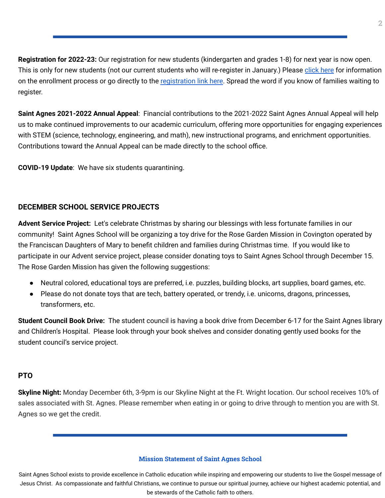**Registration for 2022-23:** Our registration for new students (kindergarten and grades 1-8) for next year is now open. This is only for new students (not our current students who will re-register in January.) Please [click](https://school.saintagnes.com/admission/) here for information on the enrollment process or go directly to the [registration](https://sycamore.school/login?schoolId=3292) link here. Spread the word if you know of families waiting to register.

**Saint Agnes 2021-2022 Annual Appeal**: Financial contributions to the 2021-2022 Saint Agnes Annual Appeal will help us to make continued improvements to our academic curriculum, offering more opportunities for engaging experiences with STEM (science, technology, engineering, and math), new instructional programs, and enrichment opportunities. Contributions toward the Annual Appeal can be made directly to the school office.

**COVID-19 Update**: We have six students quarantining.

## **DECEMBER SCHOOL SERVICE PROJECTS**

**Advent Service Project:** Let's celebrate Christmas by sharing our blessings with less fortunate families in our community! Saint Agnes School will be organizing a toy drive for the Rose Garden Mission in Covington operated by the Franciscan Daughters of Mary to benefit children and families during Christmas time. If you would like to participate in our Advent service project, please consider donating toys to Saint Agnes School through December 15. The Rose Garden Mission has given the following suggestions:

- Neutral colored, educational toys are preferred, i.e. puzzles, building blocks, art supplies, board games, etc.
- Please do not donate toys that are tech, battery operated, or trendy, i.e. unicorns, dragons, princesses, transformers, etc.

**Student Council Book Drive:** The student council is having a book drive from December 6-17 for the Saint Agnes library and Children's Hospital. Please look through your book shelves and consider donating gently used books for the student council's service project.

#### **PTO**

**Skyline Night:** Monday December 6th, 3-9pm is our Skyline Night at the Ft. Wright location. Our school receives 10% of sales associated with St. Agnes. Please remember when eating in or going to drive through to mention you are with St. Agnes so we get the credit.

#### **Mission Statement of Saint Agnes School**

Saint Agnes School exists to provide excellence in Catholic education while inspiring and empowering our students to live the Gospel message of Jesus Christ. As compassionate and faithful Christians, we continue to pursue our spiritual journey, achieve our highest academic potential, and be stewards of the Catholic faith to others.